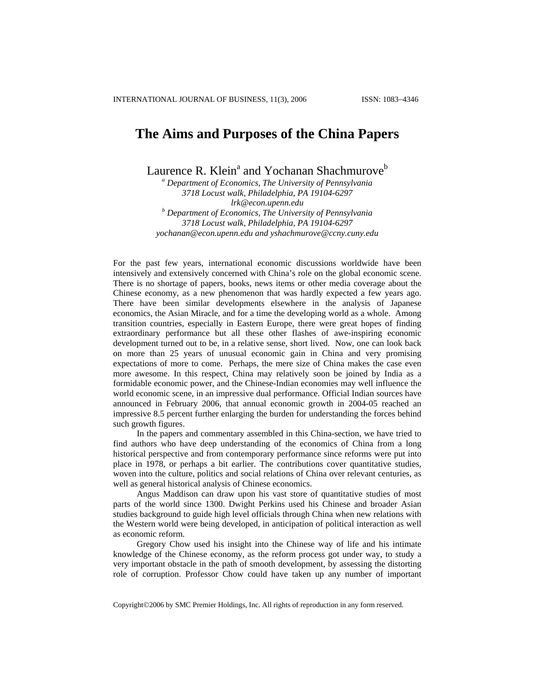## **The Aims and Purposes of the China Papers**

Laurence R. Klein<sup>a</sup> and Yochanan Shachmurove<sup>b</sup>

*<sup>a</sup> Department of Economics, The University of Pennsylvania 3718 Locust walk, Philadelphia, PA 19104-6297 lrk@econ.upenn.edu <sup>b</sup> Department of Economics, The University of Pennsylvania 3718 Locust walk, Philadelphia, PA 19104-6297 [yochanan@econ.upenn.edu](mailto:yochanan@econ.upenn.edu) and yshachmurove@ccny.cuny.edu* 

For the past few years, international economic discussions worldwide have been intensively and extensively concerned with China's role on the global economic scene. There is no shortage of papers, books, news items or other media coverage about the Chinese economy, as a new phenomenon that was hardly expected a few years ago. There have been similar developments elsewhere in the analysis of Japanese economics, the Asian Miracle, and for a time the developing world as a whole. Among transition countries, especially in Eastern Europe, there were great hopes of finding extraordinary performance but all these other flashes of awe-inspiring economic development turned out to be, in a relative sense, short lived. Now, one can look back on more than 25 years of unusual economic gain in China and very promising expectations of more to come. Perhaps, the mere size of China makes the case even more awesome. In this respect, China may relatively soon be joined by India as a formidable economic power, and the Chinese-Indian economies may well influence the world economic scene, in an impressive dual performance. Official Indian sources have announced in February 2006, that annual economic growth in 2004-05 reached an impressive 8.5 percent further enlarging the burden for understanding the forces behind such growth figures.

In the papers and commentary assembled in this China-section, we have tried to find authors who have deep understanding of the economics of China from a long historical perspective and from contemporary performance since reforms were put into place in 1978, or perhaps a bit earlier. The contributions cover quantitative studies, woven into the culture, politics and social relations of China over relevant centuries, as well as general historical analysis of Chinese economics.

Angus Maddison can draw upon his vast store of quantitative studies of most parts of the world since 1300. Dwight Perkins used his Chinese and broader Asian studies background to guide high level officials through China when new relations with the Western world were being developed, in anticipation of political interaction as well as economic reform.

Gregory Chow used his insight into the Chinese way of life and his intimate knowledge of the Chinese economy, as the reform process got under way, to study a very important obstacle in the path of smooth development, by assessing the distorting role of corruption. Professor Chow could have taken up any number of important

Copyright©2006 by SMC Premier Holdings, Inc. All rights of reproduction in any form reserved.